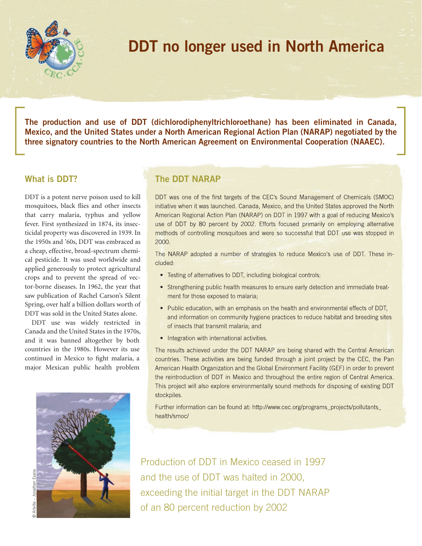

## **DDT no longer used in North America**

**The production and use of DDT (dichlorodiphenyltrichloroethane) has been eliminated in Canada, Mexico, and the United States under a North American Regional Action Plan (NARAP) negotiated by the three signatory countries to the North American Agreement on Environmental Cooperation (NAAEC).** 

## **What is DDT?**

DDT is a potent nerve poison used to kill mosquitoes, black flies and other insects that carry malaria, typhus and yellow fever. First synthesized in 1874, its insecticidal property was discovered in 1939. In the 1950s and '60s, DDT was embraced as a cheap, effective, broad-spectrum chemical pesticide. It was used worldwide and applied generously to protect agricultural crops and to prevent the spread of vector-borne diseases. In 1962, the year that saw publication of Rachel Carson's Silent Spring, over half a billion dollars worth of DDT was sold in the United States alone.

DDT use was widely restricted in Canada and the United States in the 1970s, and it was banned altogether by both countries in the 1980s. However its use continued in Mexico to fight malaria, a major Mexican public health problem



## **The DDT NARAP**

DDT was one of the first targets of the CEC's Sound Management of Chemicals (SMOC) initiative when it was launched. Canada, Mexico, and the United States approved the North American Regional Action Plan (NARAP) on DDT in 1997 with a goal of reducing Mexico's use of DDT by 80 percent by 2002. Efforts focused primarily on employing alternative methods of controlling mosquitoes and were so successful that DDT use was stopped in 2000.

The NARAP adopted a number of strategies to reduce Mexico's use of DDT. These included:

- Testing of alternatives to DDT, including biological controls;
- Strengthening public health measures to ensure early detection and immediate treatment for those exposed to malaria;
- Public education, with an emphasis on the health and environmental effects of DDT, and information on community hygiene practices to reduce habitat and breeding sites of insects that transmit malaria; and
- Integration with international activities.

The results achieved under the DDT NARAP are being shared with the Central American countries. These activities are being funded through a joint project by the CEC, the Pan American Health Organization and the Global Environment Facility (GEF) in order to prevent the reintroduction of DDT in Mexico and throughout the entire region of Central America. This project will also explore environmentally sound methods for disposing of existing DDT stockpiles.

Further information can be found at: http://www.cec.org/programs\_projects/pollutants\_ health/smoc/

Production of DDT in Mexico ceased in 1997 and the use of DDT was halted in 2000, exceeding the initial target in the DDT NARAP of an 80 percent reduction by 2002